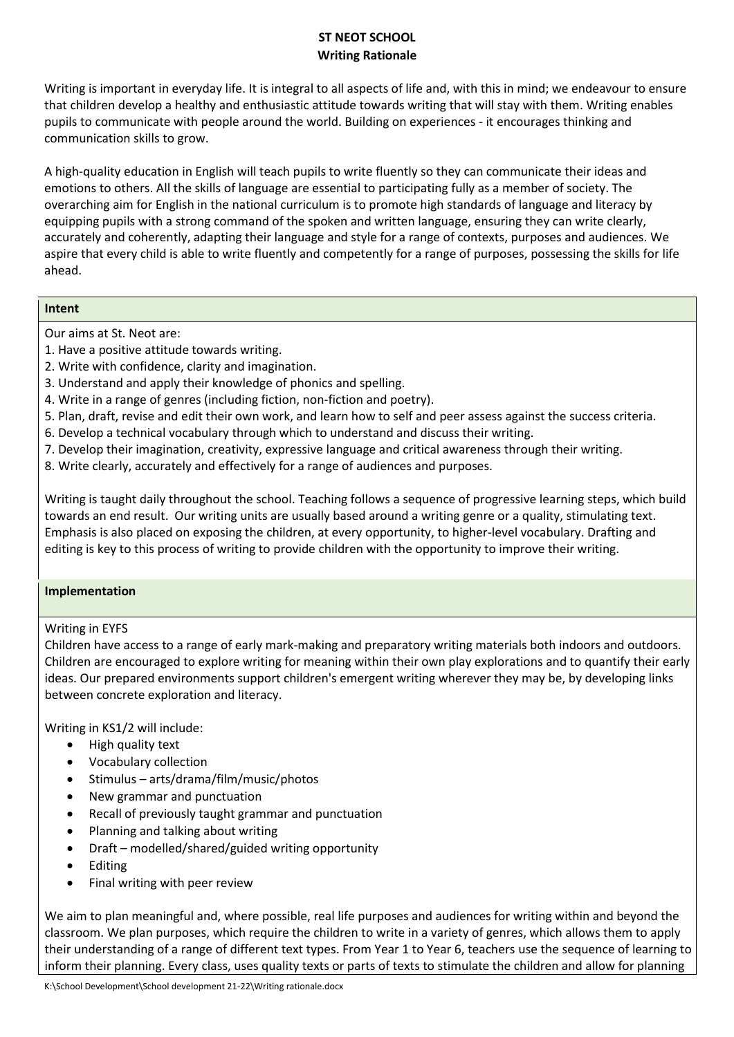# **ST NEOT SCHOOL Writing Rationale**

Writing is important in everyday life. It is integral to all aspects of life and, with this in mind; we endeavour to ensure that children develop a healthy and enthusiastic attitude towards writing that will stay with them. Writing enables pupils to communicate with people around the world. Building on experiences - it encourages thinking and communication skills to grow.

A high-quality education in English will teach pupils to write fluently so they can communicate their ideas and emotions to others. All the skills of language are essential to participating fully as a member of society. The overarching aim for English in the national curriculum is to promote high standards of language and literacy by equipping pupils with a strong command of the spoken and written language, ensuring they can write clearly, accurately and coherently, adapting their language and style for a range of contexts, purposes and audiences. We aspire that every child is able to write fluently and competently for a range of purposes, possessing the skills for life ahead.

## **Intent**

Our aims at St. Neot are:

- 1. Have a positive attitude towards writing.
- 2. Write with confidence, clarity and imagination.
- 3. Understand and apply their knowledge of phonics and spelling.
- 4. Write in a range of genres (including fiction, non-fiction and poetry).
- 5. Plan, draft, revise and edit their own work, and learn how to self and peer assess against the success criteria.
- 6. Develop a technical vocabulary through which to understand and discuss their writing.
- 7. Develop their imagination, creativity, expressive language and critical awareness through their writing.
- 8. Write clearly, accurately and effectively for a range of audiences and purposes.

Writing is taught daily throughout the school. Teaching follows a sequence of progressive learning steps, which build towards an end result. Our writing units are usually based around a writing genre or a quality, stimulating text. Emphasis is also placed on exposing the children, at every opportunity, to higher-level vocabulary. Drafting and editing is key to this process of writing to provide children with the opportunity to improve their writing.

#### **Implementation**

# Writing in EYFS

Children have access to a range of early mark-making and preparatory writing materials both indoors and outdoors. Children are encouraged to explore writing for meaning within their own play explorations and to quantify their early ideas. Our prepared environments support children's emergent writing wherever they may be, by developing links between concrete exploration and literacy.

Writing in KS1/2 will include:

- High quality text
- Vocabulary collection
- $\bullet$  Stimulus arts/drama/film/music/photos
- New grammar and punctuation
- Recall of previously taught grammar and punctuation
- Planning and talking about writing
- Draft modelled/shared/guided writing opportunity
- Editing
- Final writing with peer review

We aim to plan meaningful and, where possible, real life purposes and audiences for writing within and beyond the classroom. We plan purposes, which require the children to write in a variety of genres, which allows them to apply their understanding of a range of different text types. From Year 1 to Year 6, teachers use the sequence of learning to inform their planning. Every class, uses quality texts or parts of texts to stimulate the children and allow for planning